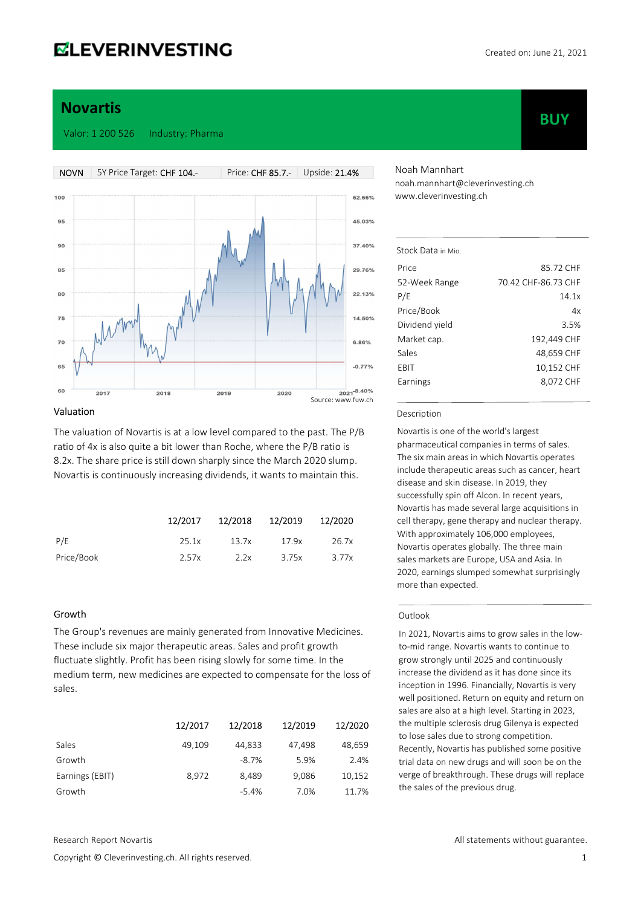# **ELEVERINVESTING**

**BUY** 

# Novartis

Valor: 1 200 526 Industry: Pharma



### Valuation

The valuation of Novartis is at a low level compared to the past. The P/B ratio of 4x is also quite a bit lower than Roche, where the P/B ratio is 8.2x. The share price is still down sharply since the March 2020 slump. Novartis is continuously increasing dividends, it wants to maintain this.

|            |       | 12/2017  12/2018  12/2019  12/2020 |       |       |
|------------|-------|------------------------------------|-------|-------|
| P/E        | 25.1x | 13.7x                              | 17.9x | 26.7x |
| Price/Book | 2.57x | 2.2x                               | 3.75x | 3.77x |

### Growth

The Group's revenues are mainly generated from Innovative Medicines. These include six major therapeutic areas. Sales and profit growth fluctuate slightly. Profit has been rising slowly for some time. In the medium term, new medicines are expected to compensate for the loss of sales.

|                 | 12/2017 | 12/2018 | 12/2019 | 12/2020 |
|-----------------|---------|---------|---------|---------|
| Sales           | 49,109  | 44,833  | 47,498  | 48,659  |
| Growth          |         | $-8.7%$ | 5.9%    | 2.4%    |
| Earnings (EBIT) | 8.972   | 8,489   | 9,086   | 10,152  |
| Growth          |         | $-5.4%$ | 7.0%    | 11.7%   |

Noah Mannhart noah.mannhart@cleverinvesting.ch www.cleverinvesting.ch

| Stock Data in Mio |                     |
|-------------------|---------------------|
| Price             | 85.72 CHF           |
| 52-Week Range     | 70.42 CHF-86.73 CHF |
| P/E               | 14.1x               |
| Price/Book        | 4x                  |
| Dividend yield    | 3.5%                |
| Market cap.       | 192,449 CHF         |
| Sales             | 48,659 CHF          |
| EBIT              | 10,152 CHF          |
| Earnings          | 8,072 CHF           |
|                   |                     |

#### Description

Novartis is one of the world's largest pharmaceutical companies in terms of sales. The six main areas in which Novartis operates include therapeutic areas such as cancer, heart disease and skin disease. In 2019, they successfully spin off Alcon. In recent years, Novartis has made several large acquisitions in cell therapy, gene therapy and nuclear therapy. With approximately 106,000 employees, Novartis operates globally. The three main sales markets are Europe, USA and Asia. In 2020, earnings slumped somewhat surprisingly more than expected.

#### **Outlook**

In 2021, Novartis aims to grow sales in the lowto-mid range. Novartis wants to continue to grow strongly until 2025 and continuously increase the dividend as it has done since its inception in 1996. Financially, Novartis is very well positioned. Return on equity and return on sales are also at a high level. Starting in 2023, the multiple sclerosis drug Gilenya is expected to lose sales due to strong competition. Recently, Novartis has published some positive trial data on new drugs and will soon be on the verge of breakthrough. These drugs will replace the sales of the previous drug.

Copyright © Cleverinvesting.ch. All rights reserved. 1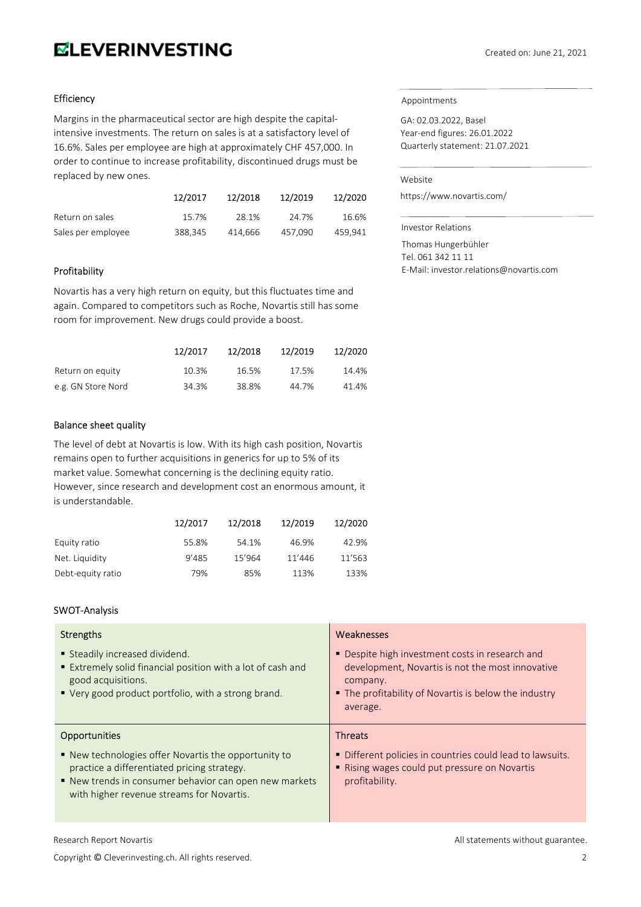# **ELEVERINVESTING**

# **Efficiency**

Margins in the pharmaceutical sector are high despite the capitalintensive investments. The return on sales is at a satisfactory level of 16.6%. Sales per employee are high at approximately CHF 457,000. In order to continue to increase profitability, discontinued drugs must be replaced by new ones.

|                    | 12/2017 | 12/2018 | 12/2019 | 12/2020 |
|--------------------|---------|---------|---------|---------|
| Return on sales    | 15.7%   | 28.1%   | 24.7%   | 16.6%   |
| Sales per employee | 388,345 | 414.666 | 457.090 | 459.941 |

# Profitability

Novartis has a very high return on equity, but this fluctuates time and again. Compared to competitors such as Roche, Novartis still has some room for improvement. New drugs could provide a boost.

|                    | 12/2017 | 12/2018 | 12/2019 | 12/2020 |
|--------------------|---------|---------|---------|---------|
| Return on equity   | 10.3%   | 16.5%   | 17.5%   | 14.4%   |
| e.g. GN Store Nord | 34.3%   | 38.8%   | 44.7%   | 41.4%   |

# Balance sheet quality

The level of debt at Novartis is low. With its high cash position, Novartis remains open to further acquisitions in generics for up to 5% of its market value. Somewhat concerning is the declining equity ratio. However, since research and development cost an enormous amount, it is understandable.

|                   | 12/2017 | 12/2018 | 12/2019 | 12/2020 |
|-------------------|---------|---------|---------|---------|
| Equity ratio      | 55.8%   | 54.1%   | 46.9%   | 42.9%   |
| Net. Liquidity    | 9'485   | 15'964  | 11'446  | 11'563  |
| Debt-equity ratio | 79%     | 85%     | 113%    | 133%    |

# SWOT-Analysis

| Strengths                                                                                                                                                                                                  | Weaknesses                                                                                                                                                                           |
|------------------------------------------------------------------------------------------------------------------------------------------------------------------------------------------------------------|--------------------------------------------------------------------------------------------------------------------------------------------------------------------------------------|
| ■ Steadily increased dividend.<br>Extremely solid financial position with a lot of cash and<br>good acquisitions.<br>■ Very good product portfolio, with a strong brand.                                   | • Despite high investment costs in research and<br>development, Novartis is not the most innovative<br>company.<br>• The profitability of Novartis is below the industry<br>average. |
| <b>Opportunities</b>                                                                                                                                                                                       | <b>Threats</b>                                                                                                                                                                       |
| ■ New technologies offer Novartis the opportunity to<br>practice a differentiated pricing strategy.<br>■ New trends in consumer behavior can open new markets<br>with higher revenue streams for Novartis. | • Different policies in countries could lead to lawsuits.<br>Rising wages could put pressure on Novartis<br>profitability.                                                           |

#### Research Report Novartis **All statements without guarantee.** All statements without guarantee.

Copyright © Cleverinvesting.ch. All rights reserved. 2

### Appointments

GA: 02.03.2022, Basel Year-end figures: 26.01.2022 Quarterly statement: 21.07.2021

#### Website

https://www.novartis.com/

Investor Relations

Thomas Hungerbühler Tel. 061 342 11 11 E-Mail: investor.relations@novartis.com